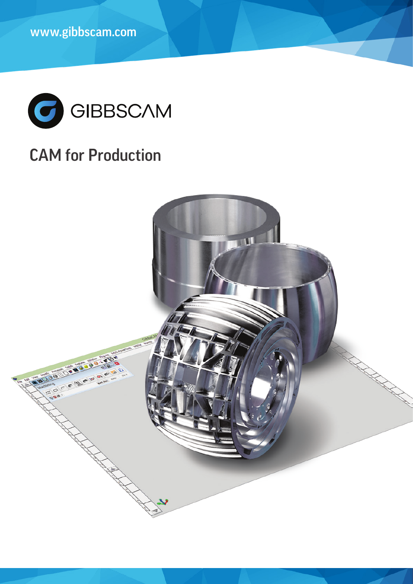

# CAM for Production